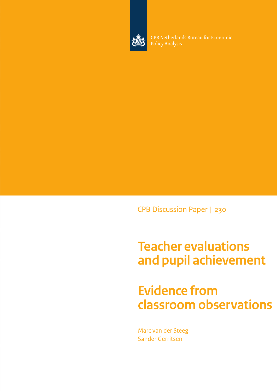

CPB Netherlands Bureau for Economic **Policy Analysis** 

CPB Discussion Paper | 230

# **Teacher evaluations and pupil achievement**

## **Evidence from classroom observations**

Marc van der Steeg Sander Gerritsen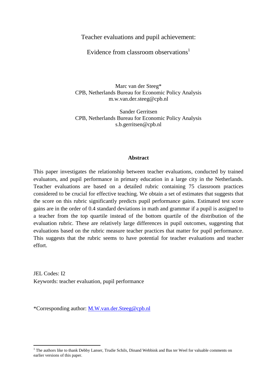Teacher evaluations and pupil achievement:

Evidence from classroom observations<sup>1</sup>

Marc van der Steeg\* CPB, Netherlands Bureau for Economic Policy Analysis m.w.van.der.steeg@cpb.nl

Sander Gerritsen CPB, Netherlands Bureau for Economic Policy Analysis s.b.gerritsen@cpb.nl

#### **Abstract**

This paper investigates the relationship between teacher evaluations, conducted by trained evaluators, and pupil performance in primary education in a large city in the Netherlands. Teacher evaluations are based on a detailed rubric containing 75 classroom practices considered to be crucial for effective teaching. We obtain a set of estimates that suggests that the score on this rubric significantly predicts pupil performance gains. Estimated test score gains are in the order of 0.4 standard deviations in math and grammar if a pupil is assigned to a teacher from the top quartile instead of the bottom quartile of the distribution of the evaluation rubric. These are relatively large differences in pupil outcomes, suggesting that evaluations based on the rubric measure teacher practices that matter for pupil performance. This suggests that the rubric seems to have potential for teacher evaluations and teacher effort.

JEL Codes: I2 Keywords: teacher evaluation, pupil performance

\*Corresponding author: [M.W.van.der.Steeg@cpb.nl](mailto:M.W.van.der.Steeg@cpb.nl)

**.** 

<sup>&</sup>lt;sup>1</sup> The authors like to thank Debby Lanser, Trudie Schils, Dinand Webbink and Bas ter Weel for valuable comments on earlier versions of this paper.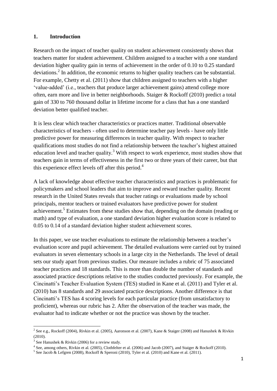#### **1. Introduction**

Research on the impact of teacher quality on student achievement consistently shows that teachers matter for student achievement. Children assigned to a teacher with a one standard deviation higher quality gain in terms of achievement in the order of 0.10 to 0.25 standard deviations.<sup>2</sup> In addition, the economic returns to higher quality teachers can be substantial. For example, Chetty et al. (2011) show that children assigned to teachers with a higher 'value-added' (i.e., teachers that produce larger achievement gains) attend college more often, earn more and live in better neighborhoods. Staiger & Rockoff (2010) predict a total gain of 330 to 760 thousand dollar in lifetime income for a class that has a one standard deviation better qualified teacher.

It is less clear which teacher characteristics or practices matter. Traditional observable characteristics of teachers - often used to determine teacher pay levels - have only little predictive power for measuring differences in teacher quality. With respect to teacher qualifications most studies do not find a relationship between the teacher's highest attained education level and teacher quality.<sup>3</sup> With respect to work experience, most studies show that teachers gain in terms of effectiveness in the first two or three years of their career, but that this experience effect levels off after this period.<sup>4</sup>

A lack of knowledge about effective teacher characteristics and practices is problematic for policymakers and school leaders that aim to improve and reward teacher quality. Recent research in the United States reveals that teacher ratings or evaluations made by school principals, mentor teachers or trained evaluators have predictive power for student achievement.<sup>5</sup> Estimates from these studies show that, depending on the domain (reading or math) and type of evaluation, a one standard deviation higher evaluation score is related to 0.05 to 0.14 of a standard deviation higher student achievement scores.

In this paper, we use teacher evaluations to estimate the relationship between a teacher's evaluation score and pupil achievement. The detailed evaluations were carried out by trained evaluators in seven elementary schools in a large city in the Netherlands. The level of detail sets our study apart from previous studies. Our measure includes a rubric of 75 associated teacher practices and 18 standards. This is more than double the number of standards and associated practice descriptions relative to the studies conducted previously. For example, the Cincinatti's Teacher Evaluation System (TES) studied in Kane et al. (2011) and Tyler et al. (2010) has 8 standards and 29 associated practice descriptions. Another difference is that Cincinatti's TES has 4 scoring levels for each particular practice (from unsatisfactory to proficient), whereas our rubric has 2. After the observation of the teacher was made, the evaluator had to indicate whether or not the practice was shown by the teacher.

<sup>&</sup>lt;u>2</u><br>2 See e.g., Rockoff (2004), Rivkin et al. (2005), Aaronson et al. (2007), Kane & Staiger (2008) and Hanushek & Rivkin (2010).

 $3$  See Hanushek & Rivkin (2006) for a review study.

<sup>4</sup> See, among others, Rivkin et al. (2005), Clothfelter et al. (2006) and Jacob (2007), and Staiger & Rockoff (2010).

 $<sup>5</sup>$  See Jacob & Lefgren (2008), Rockoff & Speroni (2010), Tyler et al. (2010) and Kane et al. (2011).</sup>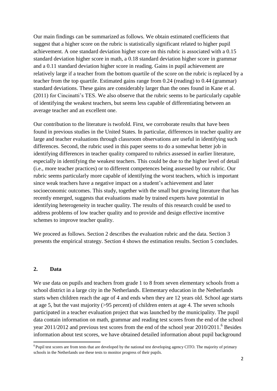Our main findings can be summarized as follows. We obtain estimated coefficients that suggest that a higher score on the rubric is statistically significant related to higher pupil achievement. A one standard deviation higher score on this rubric is associated with a 0.15 standard deviation higher score in math, a 0.18 standard deviation higher score in grammar and a 0.11 standard deviation higher score in reading. Gains in pupil achievement are relatively large if a teacher from the bottom quartile of the score on the rubric is replaced by a teacher from the top quartile. Estimated gains range from 0.24 (reading) to 0.44 (grammar) standard deviations. These gains are considerably larger than the ones found in Kane et al. (2011) for Cincinatti's TES. We also observe that the rubric seems to be particularly capable of identifying the weakest teachers, but seems less capable of differentiating between an average teacher and an excellent one.

Our contribution to the literature is twofold. First, we corroborate results that have been found in previous studies in the United States. In particular, differences in teacher quality are large and teacher evaluations through classroom observations are useful in identifying such differences. Second, the rubric used in this paper seems to do a somewhat better job in identifying differences in teacher quality compared to rubrics assessed in earlier literature, especially in identifying the weakest teachers. This could be due to the higher level of detail (i.e., more teacher practices) or to different competences being assessed by our rubric. Our rubric seems particularly more capable of identifying the worst teachers, which is important since weak teachers have a negative impact on a student's achievement and later socioeconomic outcomes. This study, together with the small but growing literature that has recently emerged, suggests that evaluations made by trained experts have potential in identifying heterogeneity in teacher quality. The results of this research could be used to address problems of low teacher quality and to provide and design effective incentive schemes to improve teacher quality.

We proceed as follows. Section 2 describes the evaluation rubric and the data. Section 3 presents the empirical strategy. Section 4 shows the estimation results. Section 5 concludes.

#### **2. Data**

 $\overline{\phantom{a}}$ 

We use data on pupils and teachers from grade 1 to 8 from seven elementary schools from a school district in a large city in the Netherlands. Elementary education in the Netherlands starts when children reach the age of 4 and ends when they are 12 years old. School age starts at age 5, but the vast majority (>95 percent) of children enters at age 4. The seven schools participated in a teacher evaluation project that was launched by the municipality. The pupil data contain information on math, grammar and reading test scores from the end of the school year 2011/2012 and previous test scores from the end of the school year 2010/2011.<sup>6</sup> Besides information about test scores, we have obtained detailed information about pupil background

<sup>&</sup>lt;sup>6</sup> Pupil test scores are from tests that are developed by the national test developing agency CITO. The majority of primary schools in the Netherlands use these tests to monitor progress of their pupils.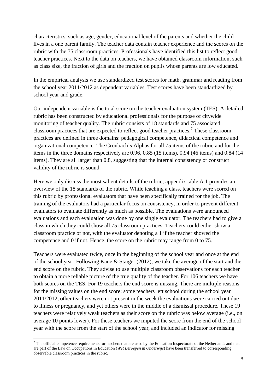characteristics, such as age, gender, educational level of the parents and whether the child lives in a one parent family. The teacher data contain teacher experience and the scores on the rubric with the 75 classroom practices. Professionals have identified this list to reflect good teacher practices. Next to the data on teachers, we have obtained classroom information, such as class size, the fraction of girls and the fraction on pupils whose parents are low educated.

In the empirical analysis we use standardized test scores for math, grammar and reading from the school year 2011/2012 as dependent variables. Test scores have been standardized by school year and grade.

Our independent variable is the total score on the teacher evaluation system (TES). A detailed rubric has been constructed by educational professionals for the purpose of citywide monitoring of teacher quality. The rubric consists of 18 standards and 75 associated classroom practices that are expected to reflect good teacher practices.<sup>7</sup> These classroom practices are defined in three domains: pedagogical competence, didactical competence and organizational competence. The Cronbach's Alphas for all 75 items of the rubric and for the items in the three domains respectively are 0.96, 0.85 (15 items), 0.94 (46 items) and 0.84 (14 items). They are all larger than 0.8, suggesting that the internal consistency or construct validity of the rubric is sound.

Here we only discuss the most salient details of the rubric; appendix table A.1 provides an overview of the 18 standards of the rubric. While teaching a class, teachers were scored on this rubric by professional evaluators that have been specifically trained for the job. The training of the evaluators had a particular focus on consistency, in order to prevent different evaluators to evaluate differently as much as possible. The evaluations were announced evaluations and each evaluation was done by one single evaluator. The teachers had to give a class in which they could show all 75 classroom practices. Teachers could either show a classroom practice or not, with the evaluator denoting a 1 if the teacher showed the competence and 0 if not. Hence, the score on the rubric may range from 0 to 75.

Teachers were evaluated twice, once in the beginning of the school year and once at the end of the school year. Following Kane & Staiger (2012), we take the average of the start and the end score on the rubric. They advise to use multiple classroom observations for each teacher to obtain a more reliable picture of the true quality of the teacher. For 106 teachers we have both scores on the TES. For 19 teachers the end score is missing. There are multiple reasons for the missing values on the end score: some teachers left school during the school year 2011/2012, other teachers were not present in the week the evaluations were carried out due to illness or pregnancy, and yet others were in the middle of a dismissal procedure. These 19 teachers were relatively weak teachers as their score on the rubric was below average (i.e., on average 10 points lower). For these teachers we imputed the score from the end of the school year with the score from the start of the school year, and included an indicator for missing

1

 $<sup>7</sup>$  The official competence requirements for teachers that are used by the Education Inspectorate of the Netherlands and that</sup> are part of the Law on Occupations in Education (*Wet Beroepen in Onderwijs*) have been transferred to corresponding observable classroom practices in the rubric.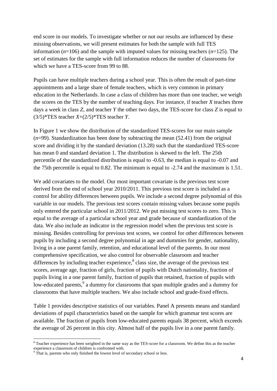end score in our models. To investigate whether or not our results are influenced by these missing observations, we will present estimates for both the sample with full TES information (*n*=106) and the sample with imputed values for missing teachers (*n*=125). The set of estimates for the sample with full information reduces the number of classrooms for which we have a TES-score from 99 to 88.

Pupils can have multiple teachers during a school year. This is often the result of part-time appointments and a large share of female teachers, which is very common in primary education in the Netherlands. In case a class of children has more than one teacher, we weigh the scores on the TES by the number of teaching days. For instance, if teacher *X* teaches three days a week in class *Z*, and teacher *Y* the other two days, the TES-score for class *Z* is equal to (3/5)\*TES teacher *X*+(2/5)\*TES teacher *Y*.

In Figure 1 we show the distribution of the standardized TES-scores for our main sample  $(n=99)$ . Standardization has been done by subtracting the mean  $(52.41)$  from the original score and dividing it by the standard deviation (13.28) such that the standardized TES-score has mean 0 and standard deviation 1. The distribution is skewed to the left. The 25th percentile of the standardized distribution is equal to -0.63, the median is equal to -0.07 and the 75th percentile is equal to 0.82. The minimum is equal to -2.74 and the maximum is 1.51.

We add covariates to the model. Our most important covariate is the previous test score derived from the end of school year 2010/2011. This previous test score is included as a control for ability differences between pupils. We include a second degree polynomial of this variable in our models. The previous test scores contain missing values because some pupils only entered the particular school in 2011/2012. We put missing test scores to zero. This is equal to the average of a particular school year and grade because of standardization of the data. We also include an indicator in the regression model when the previous test score is missing. Besides controlling for previous test scores, we control for other differences between pupils by including a second degree polynomial in age and dummies for gender, nationality, living in a one parent family, retention, and educational level of the parents. In our most comprehensive specification, we also control for observable classroom and teacher differences by including teacher experience,<sup>8</sup> class size, the average of the previous test scores, average age, fraction of girls, fraction of pupils with Dutch nationality, fraction of pupils living in a one parent family, fraction of pupils that retained, fraction of pupils with low-educated parents, <sup>9</sup> a dummy for classrooms that span multiple grades and a dummy for classrooms that have multiple teachers. We also include school and grade-fixed effects.

Table 1 provides descriptive statistics of our variables. Panel A presents means and standard deviations of pupil characteristics based on the sample for which grammar test scores are available. The fraction of pupils from low-educated parents equals 38 percent, which exceeds the average of 26 percent in this city. Almost half of the pupils live in a one parent family.

1

<sup>&</sup>lt;sup>8</sup> Teacher experience has been weighted in the same way as the TES-score for a classroom. We define this as the teacher experience a classroom of children is confronted with.

 $9$  That is, parents who only finished the lowest level of secondary school or less.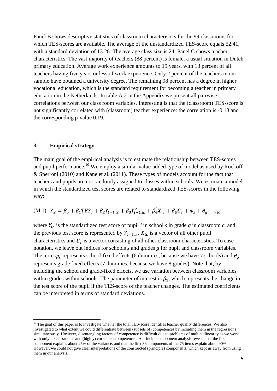Panel B shows descriptive statistics of classroom characteristics for the 99 classrooms for which TES-scores are available. The average of the unstandardized TES-score equals 52.41, with a standard deviation of 13.28. The average class size is 24. Panel C shows teacher characteristics. The vast majority of teachers (88 percent) is female, a usual situation in Dutch primary education. Average work experience amounts to 19 years, with 13 percent of all teachers having five years or less of work experience. Only 2 percent of the teachers in our sample have obtained a university degree. The remaining 98 percent has a degree in higher vocational education, which is the standard requirement for becoming a teacher in primary education in the Netherlands. In table A.2 in the Appendix we present all pairwise correlations between our class room variables. Interesting is that the (classroom) TES-score is not significantly correlated with (classroom) teacher experience: the correlation is -0.13 and the corresponding p-value 0.19.

#### **3. Empirical strategy**

**.** 

The main goal of the empirical analysis is to estimate the relationship between TES-scores and pupil performance.<sup>10</sup> We employ a similar value-added type of model as used by Rockoff & Sperroni (2010) and Kane et al. (2011). These types of models account for the fact that teachers and pupils are not randomly assigned to classes within schools. We estimate a model in which the standardized test scores are related to standardized TES-scores in the following way:

(M.1) 
$$
Y_{ic} = \beta_0 + \beta_1 T E S_c + \beta_2 Y_{t-1,ic} + \beta_3 Y_{t-1,ic}^2 + \beta_4 X_{ic} + \beta_5 C_c + \varphi_s + \theta_g + \varepsilon_{ic}
$$

where  $Y_{ic}$  is the standardized test score of pupil *i* in school *s* in grade *g* in classroom *c*, and the previous test score is represented by  $Y_{t-1, ic}$ .  $X_{ic}$  is a vector of all other pupil characteristics and  $\mathcal{C}_c$  is a vector consisting of all other classroom characteristics. To ease notation, we leave out indices for schools *s* and grades *g* for pupil and classroom variables. The term  $\varphi_s$  represents school-fixed effects (6 dummies, because we have 7 schools) and  $\theta_a$ represents grade fixed effects (7 dummies, because we have 8 grades). Note that, by including the school and grade-fixed effects, we use variation between classroom variables within grades within schools. The parameter of interest is  $\beta_1$ , which represents the change in the test score of the pupil if the TES-score of the teacher changes. The estimated coefficients can be interpreted in terms of standard deviations.

 $10$  The goal of this paper is to investigate whether the total TES-score identifies teacher quality differences. We also investigated to what extent we could differentiate between (subsets of) competences by including them in the regressions simultaneously. However, disentangling factors of competence is difficult due to problems of multicollinearity as we work with only 99 classrooms and (highly) correlated competences. A principle component analysis reveals that the first component explains about 25% of the variance, and that the first 36 components of the 75 items explain about 90%. However, we could not give clear interpretations of the constructed (principle) components, which kept us away from using them in our analysis.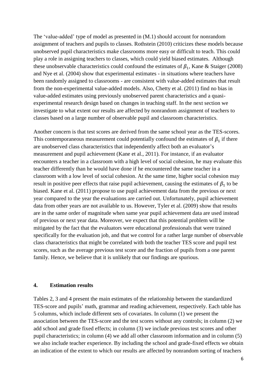The 'value-added' type of model as presented in (M.1) should account for nonrandom assignment of teachers and pupils to classes. Rothstein (2010) criticizes these models because unobserved pupil characteristics make classrooms more easy or difficult to teach. This could play a role in assigning teachers to classes, which could yield biased estimates. Although these unobservable characteristics could confound the estimates of  $\beta_1$ , Kane & Staiger (2008) and Nye et al. (2004) show that experimental estimates - in situations where teachers have been randomly assigned to classrooms - are consistent with value-added estimates that result from the non-experimental value-added models. Also, Chetty et al. (2011) find no bias in value-added estimates using previously unobserved parent characteristics and a quasiexperimental research design based on changes in teaching staff. In the next section we investigate to what extent our results are affected by nonrandom assignment of teachers to classes based on a large number of observable pupil and classroom characteristics.

Another concern is that test scores are derived from the same school year as the TES-scores. This contemporaneous measurement could potentially confound the estimates of  $\beta_1$  if there are unobserved class characteristics that independently affect both an evaluator's measurement and pupil achievement (Kane et al., 2011). For instance, if an evaluator encounters a teacher in a classroom with a high level of social cohesion, he may evaluate this teacher differently than he would have done if he encountered the same teacher in a classroom with a low level of social cohesion. At the same time, higher social cohesion may result in positive peer effects that raise pupil achievement, causing the estimates of  $\beta_1$  to be biased. Kane et al. (2011) propose to use pupil achievement data from the previous or next year compared to the year the evaluations are carried out. Unfortunately, pupil achievement data from other years are not available to us. However, Tyler et al. (2009) show that results are in the same order of magnitude when same year pupil achievement data are used instead of previous or next year data. Moreover, we expect that this potential problem will be mitigated by the fact that the evaluators were educational professionals that were trained specifically for the evaluation job, and that we control for a rather large number of observable class characteristics that might be correlated with both the teacher TES score and pupil test scores, such as the average previous test score and the fraction of pupils from a one parent family. Hence, we believe that it is unlikely that our findings are spurious.

#### **4. Estimation results**

Tables 2, 3 and 4 present the main estimates of the relationship between the standardized TES-score and pupils' math, grammar and reading achievement, respectively. Each table has 5 columns, which include different sets of covariates. In column (1) we present the association between the TES-score and the test scores without any controls; in column (2) we add school and grade fixed effects; in column (3) we include previous test scores and other pupil characteristics; in column (4) we add all other classroom information and in column (5) we also include teacher experience. By including the school and grade-fixed effects we obtain an indication of the extent to which our results are affected by nonrandom sorting of teachers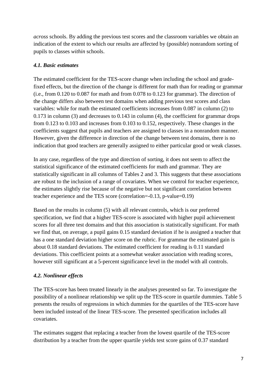*across* schools. By adding the previous test scores and the classroom variables we obtain an indication of the extent to which our results are affected by (possible) nonrandom sorting of pupils to classes *within* schools.

### *4.1. Basic estimates*

The estimated coefficient for the TES-score change when including the school and gradefixed effects, but the direction of the change is different for math than for reading or grammar (i.e., from 0.120 to 0.087 for math and from 0.078 to 0.123 for grammar). The direction of the change differs also between test domains when adding previous test scores and class variables: while for math the estimated coefficients increases from 0.087 in column (2) to 0.173 in column (3) and decreases to 0.143 in column (4), the coefficient for grammar drops from 0.123 to 0.103 and increases from 0.103 to 0.152, respectively. These changes in the coefficients suggest that pupils and teachers are assigned to classes in a nonrandom manner. However, given the difference in direction of the change between test domains, there is no indication that good teachers are generally assigned to either particular good or weak classes.

In any case, regardless of the type and direction of sorting, it does not seem to affect the statistical significance of the estimated coefficients for math and grammar. They are statistically significant in all columns of Tables 2 and 3. This suggests that these associations are robust to the inclusion of a range of covariates. When we control for teacher experience, the estimates slightly rise because of the negative but not significant correlation between teacher experience and the TES score (correlation=-0.13, p-value=0.19)

Based on the results in column (5) with all relevant controls, which is our preferred specification, we find that a higher TES-score is associated with higher pupil achievement scores for all three test domains and that this association is statistically significant. For math we find that, on average, a pupil gains 0.15 standard deviation if he is assigned a teacher that has a one standard deviation higher score on the rubric. For grammar the estimated gain is about 0.18 standard deviations. The estimated coefficient for reading is 0.11 standard deviations. This coefficient points at a somewhat weaker association with reading scores, however still significant at a 5-percent significance level in the model with all controls.

## *4.2. Nonlinear effects*

The TES-score has been treated linearly in the analyses presented so far. To investigate the possibility of a nonlinear relationship we split up the TES-score in quartile dummies. Table 5 presents the results of regressions in which dummies for the quartiles of the TES-score have been included instead of the linear TES-score. The presented specification includes all covariates.

The estimates suggest that replacing a teacher from the lowest quartile of the TES-score distribution by a teacher from the upper quartile yields test score gains of 0.37 standard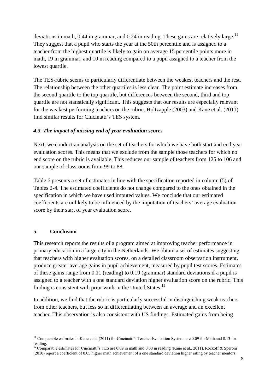deviations in math, 0.44 in grammar, and 0.24 in reading. These gains are relatively large.<sup>11</sup> They suggest that a pupil who starts the year at the 50th percentile and is assigned to a teacher from the highest quartile is likely to gain on average 15 percentile points more in math, 19 in grammar, and 10 in reading compared to a pupil assigned to a teacher from the lowest quartile.

The TES-rubric seems to particularly differentiate between the weakest teachers and the rest. The relationship between the other quartiles is less clear. The point estimate increases from the second quartile to the top quartile, but differences between the second, third and top quartile are not statistically significant. This suggests that our results are especially relevant for the weakest performing teachers on the rubric. Holtzapple (2003) and Kane et al. (2011) find similar results for Cincinatti's TES system.

### *4.3. The impact of missing end of year evaluation scores*

Next, we conduct an analysis on the set of teachers for which we have both start and end year evaluation scores. This means that we exclude from the sample those teachers for which no end score on the rubric is available. This reduces our sample of teachers from 125 to 106 and our sample of classrooms from 99 to 88.

Table 6 presents a set of estimates in line with the specification reported in column (5) of Tables 2-4. The estimated coefficients do not change compared to the ones obtained in the specification in which we have used imputed values. We conclude that our estimated coefficients are unlikely to be influenced by the imputation of teachers' average evaluation score by their start of year evaluation score.

## **5. Conclusion**

This research reports the results of a program aimed at improving teacher performance in primary education in a large city in the Netherlands. We obtain a set of estimates suggesting that teachers with higher evaluation scores, on a detailed classroom observation instrument, produce greater average gains in pupil achievement, measured by pupil test scores. Estimates of these gains range from 0.11 (reading) to 0.19 (grammar) standard deviations if a pupil is assigned to a teacher with a one standard deviation higher evaluation score on the rubric. This finding is consistent with prior work in the United States.<sup>12</sup>

In addition, we find that the rubric is particularly successful in distinguishing weak teachers from other teachers, but less so in differentiating between an average and an excellent teacher. This observation is also consistent with US findings. Estimated gains from being

**<sup>.</sup>**  $11$  Comparable estimates in Kane et al. (2011) for Cincinatti's Teacher Evaluation System are 0.09 for Math and 0.13 for reading.

<sup>&</sup>lt;sup>12</sup> Comparable estimates for Cincinatti's TES are 0.09 in math and 0.08 in reading (Kane et al., 2011). Rockoff & Speroni (2010) report a coefficient of 0.05 higher math achievement of a one standard deviation higher rating by teacher mentors.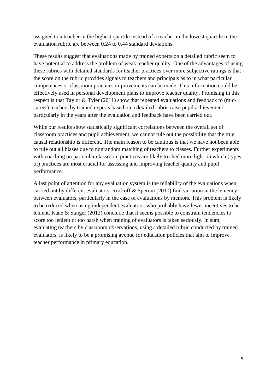assigned to a teacher in the highest quartile instead of a teacher in the lowest quartile in the evaluation rubric are between 0.24 to 0.44 standard deviations.

These results suggest that evaluations made by trained experts on a detailed rubric seem to have potential to address the problem of weak teacher quality. One of the advantages of using these rubrics with detailed standards for teacher practices over more subjective ratings is that the score on the rubric provides signals to teachers and principals as to in what particular competences or classroom practices improvements can be made. This information could be effectively used in personal development plans to improve teacher quality. Promising in this respect is that Taylor & Tyler (2011) show that repeated evaluations and feedback to (midcareer) teachers by trained experts based on a detailed rubric raise pupil achievement, particularly in the years after the evaluation and feedback have been carried out.

While our results show statistically significant correlations between the overall set of classroom practices and pupil achievement, we cannot rule out the possibility that the true causal relationship is different. The main reason to be cautious is that we have not been able to rule out all biases due to nonrandom matching of teachers to classes. Further experiments with coaching on particular classroom practices are likely to shed more light on which (types of) practices are most crucial for assessing and improving teacher quality and pupil performance.

A last point of attention for any evaluation system is the reliability of the evaluations when carried out by different evaluators. Rockoff & Speroni (2010) find variation in the leniency between evaluators, particularly in the case of evaluations by mentors. This problem is likely to be reduced when using independent evaluators, who probably have fewer incentives to be lenient. Kane & Staiger (2012) conclude that it seems possible to constrain tendencies to score too lenient or too harsh when training of evaluators is taken seriously. In sum, evaluating teachers by classroom observations, using a detailed rubric conducted by trained evaluators, is likely to be a promising avenue for education policies that aim to improve teacher performance in primary education.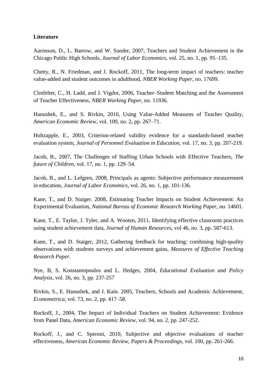#### **Literature**

Aaronson, D., L. Barrow, and W. Sander, 2007, Teachers and Student Achievement in the Chicago Public High Schools, *Journal of Labor Economics*, vol. 25, no. 1, pp. 95–135.

Chetty, R., N. Friedman, and J. Rockoff, 2011, The long-term impact of teachers: teacher value-added and student outcomes in adulthood, *NBER Working Paper*, no. 17699.

Clotfelter, C., H. Ladd, and J. Vigdor, 2006, Teacher–Student Matching and the Assessment of Teacher Effectiveness, *NBER Working Paper*, no. 11936.

Hanushek, E., and S. Rivkin, 2010, Using Value-Added Measures of Teacher Quality, *American Economic Review*, vol. 100, no. 2, pp. 267–71.

Holtzapple, E., 2003, Criterion-related validity evidence for a standards-based teacher evaluation system, *Journal of Personnel Evaluation in Education*, vol. 17, no. 3, pp. 207-219.

Jacob, B., 2007, The Challenges of Staffing Urban Schools with Effective Teachers, *The future of Children*, vol. 17, no. 1, pp. 129–54.

Jacob, B., and L. Lefgren, 2008, Principals as agents: Subjective performance measurement in education, *Journal of Labor Economics*, vol. 26, no. 1, pp. 101-136.

Kane, T., and D. Staiger. 2008, Estimating Teacher Impacts on Student Achievement: An Experimental Evaluation, *National Bureau of Economic Research Working Paper*, no. 14601.

Kane, T., E. Taylor, J. Tyler, and A. Wooten, 2011, Identifying effective classroom practices using student achievement data, *Journal of Human Resources*, vol 46, no. 3, pp. 587-613.

Kane, T., and D. Staiger, 2012, Gathering feedback for teaching: combining high-quality observations with students surveys and achievement gains, *Measures of Effective Teaching Research Paper*.

Nye, B, S. Konstantopoulos and L. Hedges, 2004, *Educational Evaluation and Policy Analysis*, vol. 26, no. 3, pp. 237-257

Rivkin, S., E. Hanushek, and J. Kain. 2005, Teachers, Schools and Academic Achievement, *Econometrica*, vol. 73, no. 2, pp. 417–58.

Rockoff, J., 2004, The Impact of Individual Teachers on Student Achievement: Evidence from Panel Data, *American Economic Review*, vol. 94, no. 2, pp. 247-252.

Rockoff, J., and C. Speroni, 2010, Subjective and objective evaluations of teacher effectiveness, *American Economic Review, Papers & Proceedings*, vol. 100, pp. 261-266.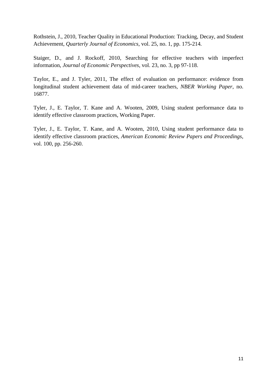Rothstein, J., 2010, Teacher Quality in Educational Production: Tracking, Decay, and Student Achievement, *Quarterly Journal of Economics*, vol. 25, no. 1, pp. 175-214*.*

Staiger, D., and J. Rockoff, 2010, Searching for effective teachers with imperfect information, *Journal of Economic Perspectives*, vol. 23, no. 3, pp 97-118.

Taylor, E., and J. Tyler, 2011, The effect of evaluation on performance: evidence from longitudinal student achievement data of mid-career teachers, *NBER Working Paper*, no. 16877.

Tyler, J., E. Taylor, T. Kane and A. Wooten, 2009, Using student performance data to identify effective classroom practices, Working Paper.

Tyler, J., E. Taylor, T. Kane, and A. Wooten, 2010, Using student performance data to identify effective classroom practices, *American Economic Review Papers and Proceedings*, vol. 100, pp. 256-260.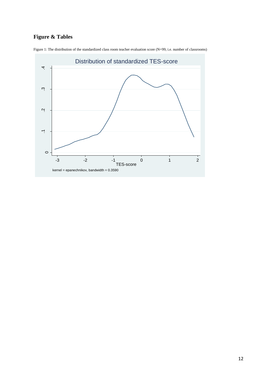## **Figure & Tables**



Figure 1: The distribution of the standardized class room teacher evaluation score (N=99, i.e. number of classrooms)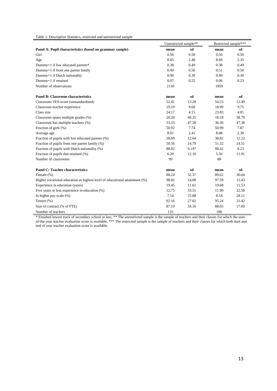Table 1: Descriptive Statistics, restricted and unrestricted sample

|                                                                            | Unrestricted sample** |       | Restricted sample*** |       |  |  |
|----------------------------------------------------------------------------|-----------------------|-------|----------------------|-------|--|--|
| Panel A: Pupil characteristics (based on grammar sample)                   | mean                  | sd    | mean                 | sd    |  |  |
| Girl                                                                       | 0.50                  | 0.50  | 0.50                 | 0.50  |  |  |
| Age                                                                        | 8.05                  | 2.40  | 8.69                 | 2.35  |  |  |
| Dummy=1 if low educated parents*                                           | 0.38                  | 0.49  | 0.38                 | 0.49  |  |  |
| Dummy=1 if from one parent family                                          | 0.49                  | 0.50  | 0.51                 | 0.50  |  |  |
| Dummy=1 if Dutch nationality                                               | 0.90                  | 0.30  | 0.90                 | 0.30  |  |  |
| Dummy=1 if retained                                                        | 0.07                  | 0.25  | 0.06                 | 0.23  |  |  |
| Number of observations                                                     | 2110                  |       | 1859                 |       |  |  |
| <b>Panel B: Classroom characteristics</b>                                  | mean                  | sd    | mean                 | sd    |  |  |
| Classroom TES-score (unstandardized)                                       | 52.41                 | 13.28 | 54.23                | 12.49 |  |  |
| Classroom teacher experience                                               | 19.19                 | 9.60  | 18.99                | 9.75  |  |  |
| Class size                                                                 | 24.17                 | 4.15  | 23.83                | 4.01  |  |  |
| Classroom spans multiple grades (%)                                        | 20.20                 | 40.35 | 18.18                | 38.79 |  |  |
| Classroom has multiple teachers (%)                                        | 33.33                 | 47.38 | 36.36                | 47.38 |  |  |
| Fraction of girls (%)                                                      | 50.92                 | 7.74  | 50.99                | 7.87  |  |  |
| Average age                                                                | 8.01                  | 2.41  | 8.08                 | 2.38  |  |  |
| Fraction of pupils with low educated parents (%)                           | 38.69                 | 12.64 | 38.82                | 12.23 |  |  |
| Fraction of pupils from one parent family (%)                              | 50.56                 | 14.79 | 51.32                | 14.51 |  |  |
| Fraction of pupils with Dutch nationality (%)                              | 88.02                 | 9.197 | 88.42                | 8.23  |  |  |
| Fraction of pupils that retained (%)                                       | 6.20                  | 12.10 | 5.56                 | 11.91 |  |  |
| Number of classrooms                                                       | 99                    |       | 88                   |       |  |  |
| <b>Panel C: Teacher characteristics</b>                                    | mean                  | sd    | mean                 | sd    |  |  |
| Female (%)                                                                 | 88.24                 | 32.37 | 89.62                | 30.64 |  |  |
| Higher vocational education as highest level of educational attainment (%) | 98.02                 | 14.00 | 97.59                | 15.43 |  |  |
| Experience in education (years)                                            | 19.45                 | 11.61 | 19.68                | 11.53 |  |  |
| Five years or less experience in education (%)                             | 12.75                 | 33.51 | 11.90                | 32.58 |  |  |
| In higher pay scale (%)                                                    | 7.14                  | 25.88 | 8.54                 | 28.11 |  |  |
| Tenure (%)                                                                 | 92.16                 | 27.02 | 95.24                | 21.42 |  |  |
| Size of contract (% of FTE)                                                | 87.19                 | 18.16 | 88.03                | 17.69 |  |  |
| Number of teachers                                                         | 125                   |       | 106                  |       |  |  |

\* Finished lowest track of secondary school or less. \*\* The unrestricted sample is the sample of teachers and their classes for which the startof-the-year teacher evaluation score is available. \*\*\* The restricted sample is the sample of teachers and their classes for which both start and end of year teacher evaluation score is available.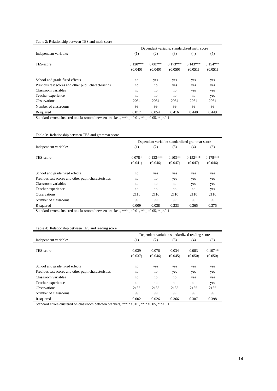|                                                      | Dependent variable: standardized math score |           |            |            |            |  |  |  |  |  |
|------------------------------------------------------|---------------------------------------------|-----------|------------|------------|------------|--|--|--|--|--|
| Independent variable:                                | (2)<br>(3)<br>(1)<br>(4)                    |           |            |            |            |  |  |  |  |  |
|                                                      |                                             |           |            |            |            |  |  |  |  |  |
| TES-score                                            | $0.120***$                                  | $0.087**$ | $0.173***$ | $0.143***$ | $0.154***$ |  |  |  |  |  |
|                                                      | (0.040)                                     | (0.040)   | (0.050)    | (0.051)    | (0.051)    |  |  |  |  |  |
|                                                      |                                             |           |            |            |            |  |  |  |  |  |
| School and grade fixed effects                       | no                                          | yes       | yes        | yes        | yes        |  |  |  |  |  |
| Previous test scores and other pupil characteristics | no                                          | no        | yes        | yes        | yes        |  |  |  |  |  |
| Classroom variables                                  | no                                          | no        | no         | yes        | yes        |  |  |  |  |  |
| Teacher experience                                   | no                                          | no        | no         | no         | yes        |  |  |  |  |  |
| <b>Observations</b>                                  | 2084                                        | 2084      | 2084       | 2084       | 2084       |  |  |  |  |  |
| Number of classrooms                                 | 99                                          | 99        | 99         | 99         | 99         |  |  |  |  |  |
| R-squared                                            | 0.017                                       | 0.054     | 0.416      | 0.440      | 0.449      |  |  |  |  |  |

Standard errors clustered on classroom between brackets, \*\*\* p<0.01, \*\* p<0.05, \* p<0.1

Table 3: Relationship between TES and grammar score

|                                                      | Dependent variable: standardized grammar score |            |           |            |            |  |  |  |  |  |
|------------------------------------------------------|------------------------------------------------|------------|-----------|------------|------------|--|--|--|--|--|
| Independent variable:                                | (1)                                            | (2)        | (3)       | (4)        |            |  |  |  |  |  |
|                                                      |                                                |            |           |            |            |  |  |  |  |  |
| TES-score                                            | $0.078*$                                       | $0.123***$ | $0.103**$ | $0.152***$ | $0.178***$ |  |  |  |  |  |
|                                                      | (0.041)                                        | (0.046)    | (0.047)   | (0.047)    | (0.046)    |  |  |  |  |  |
|                                                      |                                                |            |           |            |            |  |  |  |  |  |
| School and grade fixed effects                       | no                                             | yes        | yes       | yes        | yes        |  |  |  |  |  |
| Previous test scores and other pupil characteristics | no                                             | no         | yes       | yes        | yes        |  |  |  |  |  |
| Classroom variables                                  | no                                             | no         | no        | yes        | yes        |  |  |  |  |  |
| Teacher experience                                   | no                                             | no         | no        | no         | yes        |  |  |  |  |  |
| <b>Observations</b>                                  | 2110                                           | 2110       | 2110      | 2110       | 2110       |  |  |  |  |  |
| Number of classrooms                                 | 99                                             | 99         | 99        | 99         | 99         |  |  |  |  |  |
| R-squared                                            | 0.009                                          | 0.038      | 0.333     | 0.365      | 0.375      |  |  |  |  |  |

Standard errors clustered on classroom between brackets, \*\*\* p<0.01, \*\* p<0.05, \* p<0.1

#### Table 4: Relationship between TES and reading score

|                                                      | Dependent variable: standardized reading score |         |         |         |           |  |  |  |  |  |
|------------------------------------------------------|------------------------------------------------|---------|---------|---------|-----------|--|--|--|--|--|
| Independent variable:                                | (1)                                            | (2)     | (3)     | (4)     | (5)       |  |  |  |  |  |
|                                                      |                                                |         |         |         |           |  |  |  |  |  |
| TES-score                                            | 0.039                                          | 0.076   | 0.034   | 0.083   | $0.107**$ |  |  |  |  |  |
|                                                      | (0.037)                                        | (0.046) | (0.045) | (0.050) | (0.050)   |  |  |  |  |  |
|                                                      |                                                |         |         |         |           |  |  |  |  |  |
| School and grade fixed effects                       | no                                             | yes     | yes     | yes     | yes       |  |  |  |  |  |
| Previous test scores and other pupil characteristics | no                                             | no      | yes     | yes     | yes       |  |  |  |  |  |
| Classroom variables                                  | no                                             | no      | no      | yes     | yes       |  |  |  |  |  |
| Teacher experience                                   | no                                             | no      | no      | no      | yes       |  |  |  |  |  |
| <b>Observations</b>                                  | 2135                                           | 2135    | 2135    | 2135    | 2135      |  |  |  |  |  |
| Number of classrooms                                 | 99                                             | 99      | 99      | 99      | 99        |  |  |  |  |  |
| R-squared                                            | 0.002                                          | 0.026   | 0.366   | 0.387   | 0.398     |  |  |  |  |  |

Standard errors clustered on classroom between brackets, \*\*\* p<0.01, \*\* p<0.05, \* p<0.1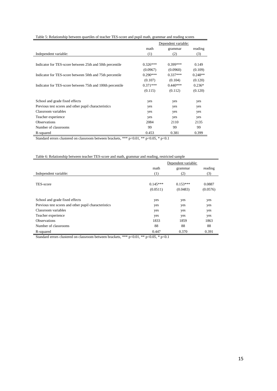|                                                           | Dependent variable:<br>math<br>grammar |            |           |  |  |  |  |  |
|-----------------------------------------------------------|----------------------------------------|------------|-----------|--|--|--|--|--|
|                                                           |                                        |            | reading   |  |  |  |  |  |
| Independent variable:                                     | (1)                                    | (2)        | (3)       |  |  |  |  |  |
|                                                           |                                        |            |           |  |  |  |  |  |
| Indicator for TES-score between 25th and 50th percentile  | $0.326***$                             | $0.399***$ | 0.149     |  |  |  |  |  |
|                                                           | (0.0967)                               | (0.0960)   | (0.109)   |  |  |  |  |  |
| Indicator for TES-score between 50th and 75th percentile  | $0.290***$                             | $0.337***$ | $0.248**$ |  |  |  |  |  |
|                                                           | (0.107)                                | (0.104)    | (0.120)   |  |  |  |  |  |
| Indicator for TES-score between 75th and 100th percentile | $0.371***$                             | $0.440***$ | $0.236*$  |  |  |  |  |  |
|                                                           | (0.115)                                | (0.112)    | (0.120)   |  |  |  |  |  |
| School and grade fixed effects                            | yes                                    | yes        | yes       |  |  |  |  |  |
| Previous test scores and other pupil characteristics      | yes                                    | yes        | yes       |  |  |  |  |  |
| Classroom variables                                       | yes                                    | yes        | yes       |  |  |  |  |  |
| Teacher experience                                        | yes                                    | yes        | yes       |  |  |  |  |  |
| <b>Observations</b>                                       | 2084                                   | 2110       | 2135      |  |  |  |  |  |
| Number of classrooms                                      | 99                                     | 99         | 99        |  |  |  |  |  |
| R-squared                                                 | 0.453                                  | 0.381      | 0.399     |  |  |  |  |  |

#### Table 5: Relationship between quartiles of teacher TES-score and pupil math, grammar and reading scores

Standard errors clustered on classroom between brackets, \*\*\* p<0.01, \*\* p<0.05, \* p<0.1

#### Table 6: Relationship between teacher TES-score and math, grammar and reading, restricted sample

|                                                      |            | Dependent variable: |          |
|------------------------------------------------------|------------|---------------------|----------|
|                                                      | math       | grammar             | reading  |
| Independent variable:                                | (1)        | (2)                 | (3)      |
|                                                      |            |                     |          |
| TES-score                                            | $0.145***$ | $0.153***$          | 0.0887   |
|                                                      | (0.0511)   | (0.0483)            | (0.0576) |
|                                                      |            |                     |          |
| School and grade fixed effects                       | yes        | yes                 | yes      |
| Previous test scores and other pupil characteristics | yes        | yes                 | yes      |
| Classroom variables                                  | yes        | yes                 | yes      |
| Teacher experience                                   | yes        | yes                 | yes      |
| <b>Observations</b>                                  | 1833       | 1859                | 1863     |
| Number of classrooms                                 | 88         | 88                  | 88       |
| R-squared                                            | 0.447      | 0.370               | 0.391    |

Standard errors clustered on classroom between brackets, \*\*\* p<0.01, \*\* p<0.05, \* p<0.1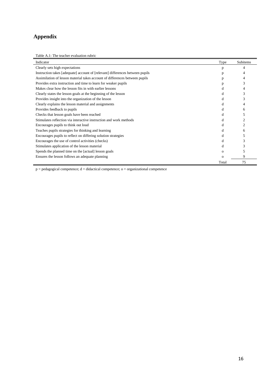## **Appendix**

Table A.1: The teacher evaluation rubric

| Indicator                                                                     | Type     | Subitems |
|-------------------------------------------------------------------------------|----------|----------|
| Clearly sets high expectations                                                | p        | 4        |
| Instruction takes [adequate] account of [relevant] differences between pupils | p        |          |
| Assimilation of lesson material takes account of differences between pupils   | р        | 4        |
| Provides extra instruction and time to learn for weaker pupils                |          | 3        |
| Makes clear how the lesson fits in with earlier lessons                       |          |          |
| Clearly states the lesson goals at the beginning of the lesson                | d        | 3        |
| Provides insight into the organization of the lesson                          | d        |          |
| Clearly explains the lesson material and assignments                          | d        |          |
| Provides feedback to pupils                                                   | đ        | 6        |
| Checks that lesson goals have been reached                                    | d        | 5        |
| Stimulates reflection via interactive instruction and work methods            | đ        |          |
| Encourages pupils to think out loud                                           | đ        | 2        |
| Teaches pupils strategies for thinking and learning                           | d        | 6        |
| Encourages pupils to reflect on differing solution strategies                 | d        |          |
| Encourages the use of control activities (checks)                             | đ        |          |
| Stimulates application of the lesson material                                 | d        |          |
| Spends the planned time on the [actual] lesson goals                          | $\Omega$ |          |
| Ensures the lesson follows an adequate planning                               | $\Omega$ | 9        |
|                                                                               | Total    | 75       |

 $p =$  pedagogical competence;  $d =$  didactical competence; o = organizational competence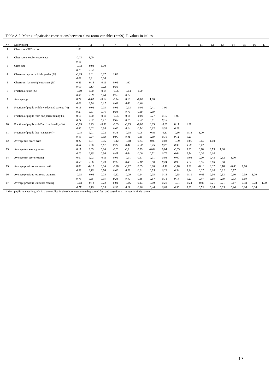|  | Table A.2: Matrix of pairwise correlations between class room variables $(n=99)$ . P-values in italics |  |  |
|--|--------------------------------------------------------------------------------------------------------|--|--|
|  |                                                                                                        |  |  |

| Nr.            | Description:                                     |         | $\overline{c}$ | 3       | 4       | 5       | 6       | $\tau$  | 8       | 9       | 10      | 11      | 12   | 13   | 14      | 15   | 16   | 17   |
|----------------|--------------------------------------------------|---------|----------------|---------|---------|---------|---------|---------|---------|---------|---------|---------|------|------|---------|------|------|------|
|                | Class room TES-score                             | 1,00    |                |         |         |         |         |         |         |         |         |         |      |      |         |      |      |      |
| 2              | Class room teacher experience                    | $-0.13$ | 1,00           |         |         |         |         |         |         |         |         |         |      |      |         |      |      |      |
|                |                                                  | 0,19    |                |         |         |         |         |         |         |         |         |         |      |      |         |      |      |      |
| 3              | Class size                                       | $-0.13$ | $-0.03$        | 1,00    |         |         |         |         |         |         |         |         |      |      |         |      |      |      |
|                |                                                  | 0,19    | 0,74           |         |         |         |         |         |         |         |         |         |      |      |         |      |      |      |
| $\overline{4}$ | Classroom spans multiple grades (%)              | $-0,23$ | 0,01           | 0,17    | 1,00    |         |         |         |         |         |         |         |      |      |         |      |      |      |
|                |                                                  | 0.02    | 0.91           | 0.08    |         |         |         |         |         |         |         |         |      |      |         |      |      |      |
| 5              | Classroom has multiple teachers (%)              | 0,29    | $-0.15$        | $-0,16$ | 0,02    | 1,00    |         |         |         |         |         |         |      |      |         |      |      |      |
|                |                                                  | 0.00    | 0.13           | 0, 12   | 0,86    |         |         |         |         |         |         |         |      |      |         |      |      |      |
| 6              | Fraction of girls (%)                            | $-0.09$ | 0.00           | $-0,14$ | $-0,06$ | $-0,14$ | 1,00    |         |         |         |         |         |      |      |         |      |      |      |
|                |                                                  | 0.36    | 0.99           | 0.18    | 0.57    | 0,17    |         |         |         |         |         |         |      |      |         |      |      |      |
| 7              | Average age                                      | 0,22    | $-0.07$        | $-0,14$ | $-0,24$ | 0,19    | $-0.09$ | 1,00    |         |         |         |         |      |      |         |      |      |      |
|                |                                                  | 0,03    | 0.50           | 0,17    | 0,02    | 0,06    | 0,40    |         |         |         |         |         |      |      |         |      |      |      |
| 8              | Fraction of pupils with low educated parents (%) | 0,11    | $-0.02$        | 0,03    | 0,02    | $-0.03$ | $-0.09$ | 0,41    | 1,00    |         |         |         |      |      |         |      |      |      |
|                |                                                  | 0,27    | 0,81           | 0.76    | 0,84    | 0,79    | 0,38    | 0,00    |         |         |         |         |      |      |         |      |      |      |
| 9              | Fraction of pupils from one parent family (%)    | 0,16    | 0.00           | $-0,16$ | $-0,05$ | 0,14    | $-0.09$ | 0,27    | 0,15    | 1,00    |         |         |      |      |         |      |      |      |
|                |                                                  | 0,11    | 0,97           | 0, 11   | 0,60    | 0,16    | 0,37    | 0, 01   | 0,15    |         |         |         |      |      |         |      |      |      |
| 10             | Fraction of pupils with Dutch nationality (%)    | $-0.03$ | 0,23           | $-0.09$ | $-0,39$ | $-0.15$ | $-0.03$ | 0,05    | $-0.09$ | 0,11    | 1,00    |         |      |      |         |      |      |      |
|                |                                                  | 0,80    | 0.02           | 0,38    | 0,00    | 0,14    | 0.74    | 0,62    | 0,36    | 0,28    |         |         |      |      |         |      |      |      |
| 11             | Fraction of pupils that retained (%)*            | $-0,15$ | 0.01           | 0,22    | 0,33    | $-0.08$ | 0,08    | $-0,55$ | $-0,17$ | $-0.16$ | $-0,13$ | 1,00    |      |      |         |      |      |      |
|                |                                                  | 0.15    | 0.94           | 0,03    | 0,00    | 0,41    | 0,45    | 0,00    | 0,10    | 0, 11   | 0,21    |         |      |      |         |      |      |      |
| 12             | Average test score math                          | 0,27    | 0.01           | 0,05    | $-0,12$ | $-0.08$ | 0,33    | $-0,08$ | 0.03    | $-0.09$ | $-0,05$ | 0,14    | 1,00 |      |         |      |      |      |
|                |                                                  | 0,01    | 0.96           | 0.61    | 0,25    | 0,44    | 0,00    | 0,45    | 0,77    | 0,35    | 0,60    | 0,17    |      |      |         |      |      |      |
| 13             | Average test score grammar                       | 0,17    | 0.09           | 0,10    | $-0,02$ | $-0,21$ | 0,29    | $-0,04$ | 0,04    | $-0.05$ | 0,03    | 0,18    | 0,73 | 1,00 |         |      |      |      |
|                |                                                  | 0,10    | 0.35           | 0,30    | 0,85    | 0,04    | 0,00    | 0, 71   | 0,71    | 0.64    | 0,74    | 0,08    | 0,00 |      |         |      |      |      |
| 14             | Average test score reading                       | 0,07    | 0.02           | $-0,11$ | 0,09    | $-0.01$ | 0,17    | 0,01    | 0.03    | 0,00    | $-0.03$ | 0,20    | 0,43 | 0,62 | 1,00    |      |      |      |
|                |                                                  | 0,50    | 0.86           | 0,29    | 0,36    | 0,89    | 0,10    | 0,90    | 0.74    | 0,98    | 0,74    | 0,05    | 0,00 | 0,00 |         |      |      |      |
| 15             | Average previous test score math                 | 0,00    | $-0.15$        | 0,06    | $-0,28$ | $-0,12$ | 0,05    | 0,06    | $-0,12$ | $-0,10$ | 0,02    | $-0,18$ | 0,32 | 0,10 | $-0,03$ | 1,00 |      |      |
|                |                                                  | 0,98    | 0.15           | 0,56    | 0,00    | 0,23    | 0,61    | 0,55    | 0,22    | 0,34    | 0,84    | 0,07    | 0,00 | 0,32 | 0,77    |      |      |      |
| 16             | Average previous test score grammar              | $-0.03$ | $-0.06$        | 0,25    | $-0,12$ | $-0,29$ | 0,14    | 0,05    | 0.15    | $-0.15$ | $-0,11$ | $-0,08$ | 0,30 | 0,33 | 0,10    | 0,39 | 1,00 |      |
|                |                                                  | 0,75    | 0,55           | 0,01    | 0,24    | 0,00    | 0,16    | 0,64    | 0,14    | 0,14    | 0,27    | 0,44    | 0,00 | 0,00 | 0,33    | 0,00 |      |      |
| 17             | Average previous test score reading              | $-0.03$ | $-0.13$        | 0,22    | 0,01    | $-0,16$ | 0,13    | 0,09    | 0,21    | $-0.01$ | $-0,24$ | $-0.06$ | 0,21 | 0,21 | 0,17    | 0,18 | 0,78 | 1,00 |
|                |                                                  | 0,77    | 0.19           | 0,03    | 0,90    | 0, 11   | 0,20    | 0,40    | 0,03    | 0,90    | 0,02    | 0,53    | 0,04 | 0,03 | 0,10    | 0,08 | 0,00 |      |

\* Most pupils retained in grade 1: they enrolled in the school year when they turned four and stayed an extra year in kindergarten